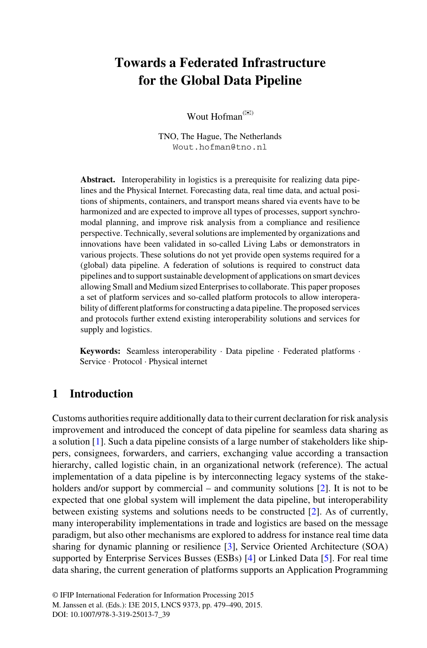# **Towards a Federated Infrastructure for the Global Data Pipeline**

Wout Hofman<sup>( $\boxtimes$ )</sup>

TNO, The Hague, The Netherlands Wout.hofman@tno.nl

Abstract. Interoperability in logistics is a prerequisite for realizing data pipelines and the Physical Internet. Forecasting data, real time data, and actual positions of shipments, containers, and transport means shared via events have to be harmonized and are expected to improve all types of processes, support synchromodal planning, and improve risk analysis from a compliance and resilience perspective. Technically, several solutions are implemented by organizations and innovations have been validated in so-called Living Labs or demonstrators in various projects. These solutions do not yet provide open systems required for a (global) data pipeline. A federation of solutions is required to construct data pipelines and to support sustainable development of applications on smart devices allowing Small and Medium sized Enterprises to collaborate. This paper proposes a set of platform services and so-called platform protocols to allow interopera‐ bility of different platforms for constructing a data pipeline. The proposed services and protocols further extend existing interoperability solutions and services for supply and logistics.

**Keywords:** Seamless interoperability · Data pipeline · Federated platforms · Service · Protocol · Physical internet

## **1 Introduction**

Customs authorities require additionally data to their current declaration for risk analysis improvement and introduced the concept of data pipeline for seamless data sharing as a solution [\[1](#page-10-0)]. Such a data pipeline consists of a large number of stakeholders like ship‐ pers, consignees, forwarders, and carriers, exchanging value according a transaction hierarchy, called logistic chain, in an organizational network (reference). The actual implementation of a data pipeline is by interconnecting legacy systems of the stake– holders and/or support by commercial – and community solutions [[2\]](#page-10-0). It is not to be expected that one global system will implement the data pipeline, but interoperability between existing systems and solutions needs to be constructed [[2\]](#page-10-0). As of currently, many interoperability implementations in trade and logistics are based on the message paradigm, but also other mechanisms are explored to address for instance real time data sharing for dynamic planning or resilience [\[3](#page-10-0)], Service Oriented Architecture (SOA) supported by Enterprise Services Busses (ESBs) [\[4](#page-10-0)] or Linked Data [[5\]](#page-10-0). For real time data sharing, the current generation of platforms supports an Application Programming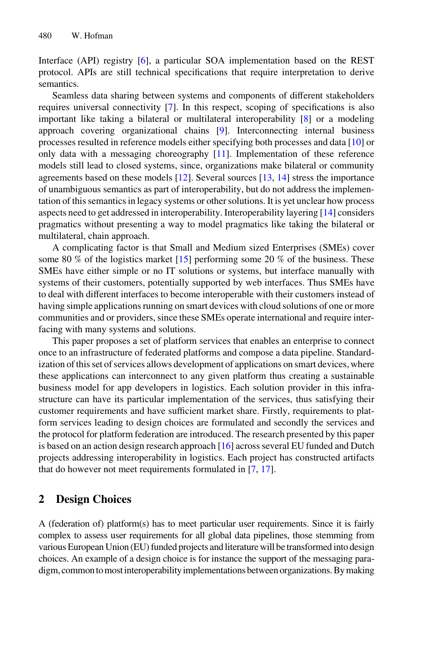<span id="page-1-0"></span>Interface (API) registry [[6\]](#page-10-0), a particular SOA implementation based on the REST protocol. APIs are still technical specifications that require interpretation to derive semantics.

Seamless data sharing between systems and components of different stakeholders requires universal connectivity [[7](#page-10-0)]. In this respect, scoping of specifications is also important like taking a bilateral or multilateral interoperability [[8\]](#page-10-0) or a modeling approach covering organizational chains [\[9\]](#page-10-0). Interconnecting internal business processes resulted in reference models either specifying both processes and data [[10\]](#page-10-0) or only data with a messaging choreography [[11\]](#page-10-0). Implementation of these reference models still lead to closed systems, since, organizations make bilateral or community agreements based on these models [\[12](#page-10-0)]. Several sources [\[13](#page-10-0), [14](#page-11-0)] stress the importance of unambiguous semantics as part of interoperability, but do not address the implemen‐ tation of this semantics in legacy systems or other solutions. It is yet unclear how process aspects need to get addressed in interoperability. Interoperability layering [[14\]](#page-11-0) considers pragmatics without presenting a way to model pragmatics like taking the bilateral or multilateral, chain approach.

A complicating factor is that Small and Medium sized Enterprises (SMEs) cover some 80 % of the logistics market [\[15](#page-11-0)] performing some 20 % of the business. These SMEs have either simple or no IT solutions or systems, but interface manually with systems of their customers, potentially supported by web interfaces. Thus SMEs have to deal with different interfaces to become interoperable with their customers instead of having simple applications running on smart devices with cloud solutions of one or more communities and or providers, since these SMEs operate international and require inter‐ facing with many systems and solutions.

This paper proposes a set of platform services that enables an enterprise to connect once to an infrastructure of federated platforms and compose a data pipeline. Standard‐ ization of this set of services allows development of applications on smart devices, where these applications can interconnect to any given platform thus creating a sustainable business model for app developers in logistics. Each solution provider in this infra‐ structure can have its particular implementation of the services, thus satisfying their customer requirements and have sufficient market share. Firstly, requirements to platform services leading to design choices are formulated and secondly the services and the protocol for platform federation are introduced. The research presented by this paper is based on an action design research approach [[16](#page-11-0)] across several EU funded and Dutch projects addressing interoperability in logistics. Each project has constructed artifacts that do however not meet requirements formulated in [\[7,](#page-10-0) [17\]](#page-11-0).

## **2 Design Choices**

A (federation of) platform(s) has to meet particular user requirements. Since it is fairly complex to assess user requirements for all global data pipelines, those stemming from various European Union (EU) funded projects and literature will be transformed into design choices. An example of a design choice is for instance the support of the messaging paradigm, common to most interoperability implementations between organizations. By making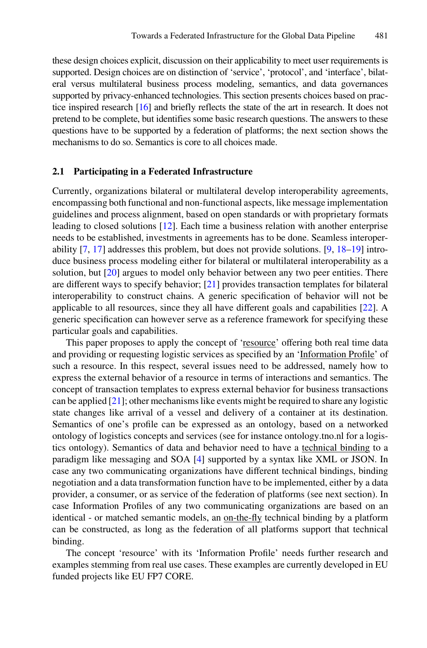these design choices explicit, discussion on their applicability to meet user requirements is supported. Design choices are on distinction of 'service', 'protocol', and 'interface', bilateral versus multilateral business process modeling, semantics, and data governances supported by privacy-enhanced technologies. This section presents choices based on practice inspired research [\[16\]](#page-11-0) and briefly reflects the state of the art in research. It does not pretend to be complete, but identifies some basic research questions. The answers to these questions have to be supported by a federation of platforms; the next section shows the mechanisms to do so. Semantics is core to all choices made.

#### **2.1 Participating in a Federated Infrastructure**

Currently, organizations bilateral or multilateral develop interoperability agreements, encompassing both functional and non-functional aspects, like message implementation guidelines and process alignment, based on open standards or with proprietary formats leading to closed solutions [\[12](#page-10-0)]. Each time a business relation with another enterprise needs to be established, investments in agreements has to be done. Seamless interoper‐ ability  $[7, 17]$  $[7, 17]$  $[7, 17]$  $[7, 17]$  addresses this problem, but does not provide solutions.  $[9, 18-19]$  $[9, 18-19]$  introduce business process modeling either for bilateral or multilateral interoperability as a solution, but [\[20](#page-11-0)] argues to model only behavior between any two peer entities. There are different ways to specify behavior; [[21\]](#page-11-0) provides transaction templates for bilateral interoperability to construct chains. A generic specification of behavior will not be applicable to all resources, since they all have different goals and capabilities [[22\]](#page-11-0). A generic specification can however serve as a reference framework for specifying these particular goals and capabilities.

This paper proposes to apply the concept of 'resource' offering both real time data and providing or requesting logistic services as specified by an 'Information Profile' of such a resource. In this respect, several issues need to be addressed, namely how to express the external behavior of a resource in terms of interactions and semantics. The concept of transaction templates to express external behavior for business transactions can be applied [\[21](#page-11-0)]; other mechanisms like events might be required to share any logistic state changes like arrival of a vessel and delivery of a container at its destination. Semantics of one's profile can be expressed as an ontology, based on a networked ontology of logistics concepts and services (see for instance ontology.tno.nl for a logis‐ tics ontology). Semantics of data and behavior need to have a technical binding to a paradigm like messaging and SOA [[4](#page-10-0)] supported by a syntax like XML or JSON. In case any two communicating organizations have different technical bindings, binding negotiation and a data transformation function have to be implemented, either by a data provider, a consumer, or as service of the federation of platforms (see next section). In case Information Profiles of any two communicating organizations are based on an identical - or matched semantic models, an on-the-fly technical binding by a platform can be constructed, as long as the federation of all platforms support that technical binding.

The concept 'resource' with its 'Information Profile' needs further research and examples stemming from real use cases. These examples are currently developed in EU funded projects like EU FP7 CORE.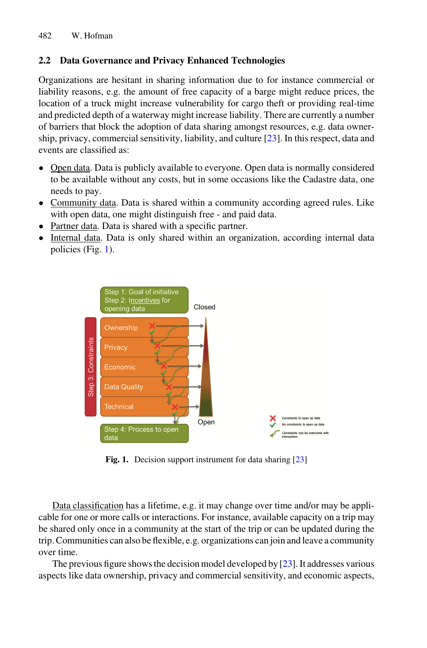### **2.2 Data Governance and Privacy Enhanced Technologies**

Organizations are hesitant in sharing information due to for instance commercial or liability reasons, e.g. the amount of free capacity of a barge might reduce prices, the location of a truck might increase vulnerability for cargo theft or providing real-time and predicted depth of a waterway might increase liability. There are currently a number of barriers that block the adoption of data sharing amongst resources, e.g. data owner‐ ship, privacy, commercial sensitivity, liability, and culture [\[23](#page-11-0)]. In this respect, data and events are classified as:

- Open data. Data is publicly available to everyone. Open data is normally considered to be available without any costs, but in some occasions like the Cadastre data, one needs to pay.
- Community data. Data is shared within a community according agreed rules. Like with open data, one might distinguish free - and paid data.
- Partner data. Data is shared with a specific partner.
- Internal data. Data is only shared within an organization, according internal data policies (Fig. 1).



Fig. 1. Decision support instrument for data sharing [\[23](#page-11-0)]

Data classification has a lifetime, e.g. it may change over time and/or may be applicable for one or more calls or interactions. For instance, available capacity on a trip may be shared only once in a community at the start of the trip or can be updated during the trip. Communities can also be flexible, e.g. organizations can join and leave a community over time.

The previous figure shows the decision model developed by [\[23](#page-11-0)]. It addresses various aspects like data ownership, privacy and commercial sensitivity, and economic aspects,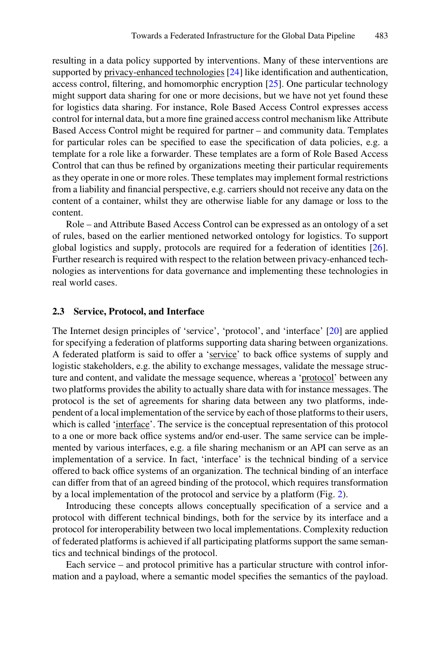resulting in a data policy supported by interventions. Many of these interventions are supported by privacy-enhanced technologies [[24\]](#page-11-0) like identification and authentication, access control, filtering, and homomorphic encryption [[25\]](#page-11-0). One particular technology might support data sharing for one or more decisions, but we have not yet found these for logistics data sharing. For instance, Role Based Access Control expresses access control for internal data, but a more fine grained access control mechanism like Attribute Based Access Control might be required for partner – and community data. Templates for particular roles can be specified to ease the specification of data policies, e.g. a template for a role like a forwarder. These templates are a form of Role Based Access Control that can thus be refined by organizations meeting their particular requirements as they operate in one or more roles. These templates may implement formal restrictions from a liability and financial perspective, e.g. carriers should not receive any data on the content of a container, whilst they are otherwise liable for any damage or loss to the content.

Role – and Attribute Based Access Control can be expressed as an ontology of a set of rules, based on the earlier mentioned networked ontology for logistics. To support global logistics and supply, protocols are required for a federation of identities [[26\]](#page-11-0). Further research is required with respect to the relation between privacy-enhanced technologies as interventions for data governance and implementing these technologies in real world cases.

#### **2.3 Service, Protocol, and Interface**

The Internet design principles of 'service', 'protocol', and 'interface' [\[20](#page-11-0)] are applied for specifying a federation of platforms supporting data sharing between organizations. A federated platform is said to offer a 'service' to back office systems of supply and logistic stakeholders, e.g. the ability to exchange messages, validate the message structure and content, and validate the message sequence, whereas a 'protocol' between any two platforms provides the ability to actually share data with for instance messages. The protocol is the set of agreements for sharing data between any two platforms, independent of a local implementation of the service by each of those platforms to their users, which is called 'interface'. The service is the conceptual representation of this protocol to a one or more back office systems and/or end-user. The same service can be implemented by various interfaces, e.g. a file sharing mechanism or an API can serve as an implementation of a service. In fact, 'interface' is the technical binding of a service offered to back office systems of an organization. The technical binding of an interface can differ from that of an agreed binding of the protocol, which requires transformation by a local implementation of the protocol and service by a platform (Fig. [2\)](#page-5-0).

Introducing these concepts allows conceptually specification of a service and a protocol with different technical bindings, both for the service by its interface and a protocol for interoperability between two local implementations. Complexity reduction of federated platforms is achieved if all participating platforms support the same seman‐ tics and technical bindings of the protocol.

Each service – and protocol primitive has a particular structure with control information and a payload, where a semantic model specifies the semantics of the payload.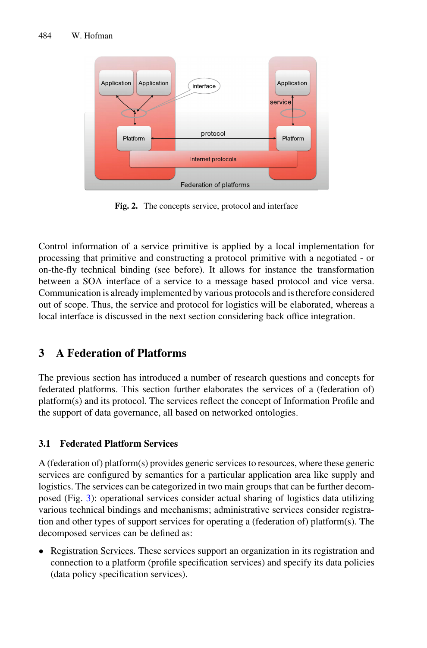<span id="page-5-0"></span>

**Fig. 2.** The concepts service, protocol and interface

Control information of a service primitive is applied by a local implementation for processing that primitive and constructing a protocol primitive with a negotiated - or on-the-fly technical binding (see before). It allows for instance the transformation between a SOA interface of a service to a message based protocol and vice versa. Communication is already implemented by various protocols and is therefore considered out of scope. Thus, the service and protocol for logistics will be elaborated, whereas a local interface is discussed in the next section considering back office integration.

## **3 A Federation of Platforms**

The previous section has introduced a number of research questions and concepts for federated platforms. This section further elaborates the services of a (federation of) platform(s) and its protocol. The services reflect the concept of Information Profile and the support of data governance, all based on networked ontologies.

## **3.1 Federated Platform Services**

A (federation of) platform(s) provides generic services to resources, where these generic services are configured by semantics for a particular application area like supply and logistics. The services can be categorized in two main groups that can be further decomposed (Fig. [3\)](#page-7-0): operational services consider actual sharing of logistics data utilizing various technical bindings and mechanisms; administrative services consider registration and other types of support services for operating a (federation of) platform(s). The decomposed services can be defined as:

• Registration Services. These services support an organization in its registration and connection to a platform (profile specification services) and specify its data policies (data policy specification services).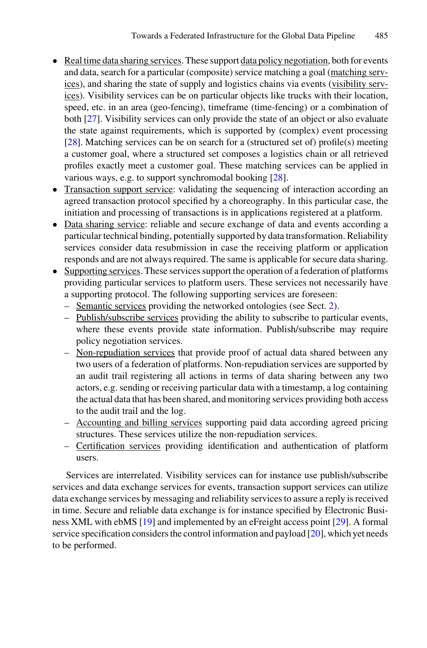- Real time data sharing services. These support data policy negotiation, both for events and data, search for a particular (composite) service matching a goal (matching services), and sharing the state of supply and logistics chains via events (visibility services). Visibility services can be on particular objects like trucks with their location, speed, etc. in an area (geo-fencing), timeframe (time-fencing) or a combination of both [[27\]](#page-11-0). Visibility services can only provide the state of an object or also evaluate the state against requirements, which is supported by (complex) event processing [[28\]](#page-11-0). Matching services can be on search for a (structured set of) profile(s) meeting a customer goal, where a structured set composes a logistics chain or all retrieved profiles exactly meet a customer goal. These matching services can be applied in various ways, e.g. to support synchromodal booking [\[28](#page-11-0)].
- Transaction support service: validating the sequencing of interaction according an agreed transaction protocol specified by a choreography. In this particular case, the initiation and processing of transactions is in applications registered at a platform.
- Data sharing service: reliable and secure exchange of data and events according a particular technical binding, potentially supported by data transformation. Reliability services consider data resubmission in case the receiving platform or application responds and are not always required. The same is applicable for secure data sharing.
- Supporting services. These services support the operation of a federation of platforms providing particular services to platform users. These services not necessarily have a supporting protocol. The following supporting services are foreseen:
	- Semantic services providing the networked ontologies (see Sect. [2\)](#page-1-0).
	- Publish/subscribe services providing the ability to subscribe to particular events, where these events provide state information. Publish/subscribe may require policy negotiation services.
	- Non-repudiation services that provide proof of actual data shared between any two users of a federation of platforms. Non-repudiation services are supported by an audit trail registering all actions in terms of data sharing between any two actors, e.g. sending or receiving particular data with a timestamp, a log containing the actual data that has been shared, and monitoring services providing both access to the audit trail and the log.
	- Accounting and billing services supporting paid data according agreed pricing structures. These services utilize the non-repudiation services.
	- Certification services providing identification and authentication of platform users.

Services are interrelated. Visibility services can for instance use publish/subscribe services and data exchange services for events, transaction support services can utilize data exchange services by messaging and reliability services to assure a reply is received in time. Secure and reliable data exchange is for instance specified by Electronic Business XML with ebMS [[19\]](#page-11-0) and implemented by an eFreight access point [[29\]](#page-11-0). A formal service specification considers the control information and payload [[20\]](#page-11-0), which yet needs to be performed.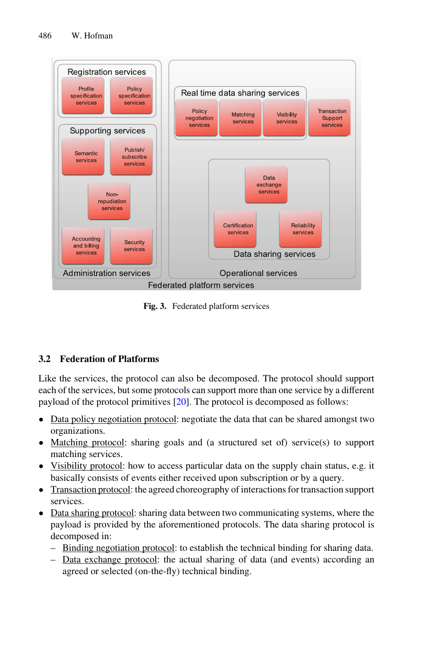<span id="page-7-0"></span>

**Fig. 3.** Federated platform services

## **3.2 Federation of Platforms**

Like the services, the protocol can also be decomposed. The protocol should support each of the services, but some protocols can support more than one service by a different payload of the protocol primitives [[20\]](#page-11-0). The protocol is decomposed as follows:

- Data policy negotiation protocol: negotiate the data that can be shared amongst two organizations.
- Matching protocol: sharing goals and (a structured set of) service(s) to support matching services.
- Visibility protocol: how to access particular data on the supply chain status, e.g. it basically consists of events either received upon subscription or by a query.
- Transaction protocol: the agreed choreography of interactions for transaction support services.
- Data sharing protocol: sharing data between two communicating systems, where the payload is provided by the aforementioned protocols. The data sharing protocol is decomposed in:
	- Binding negotiation protocol: to establish the technical binding for sharing data.
	- Data exchange protocol: the actual sharing of data (and events) according an agreed or selected (on-the-fly) technical binding.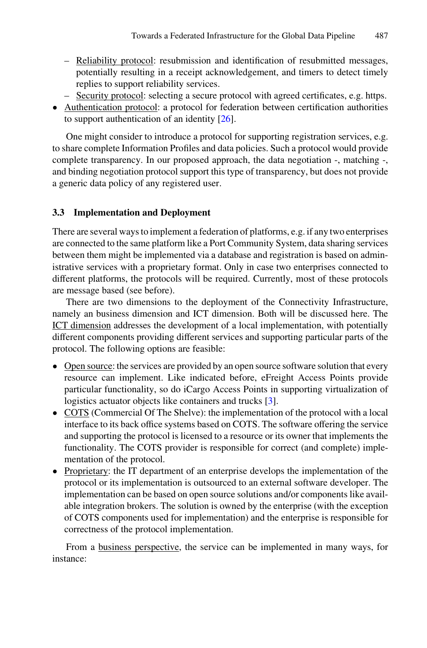- Reliability protocol: resubmission and identification of resubmitted messages, potentially resulting in a receipt acknowledgement, and timers to detect timely replies to support reliability services.
- Security protocol: selecting a secure protocol with agreed certificates, e.g. https.
- Authentication protocol: a protocol for federation between certification authorities to support authentication of an identity [\[26](#page-11-0)].

One might consider to introduce a protocol for supporting registration services, e.g. to share complete Information Profiles and data policies. Such a protocol would provide complete transparency. In our proposed approach, the data negotiation -, matching -, and binding negotiation protocol support this type of transparency, but does not provide a generic data policy of any registered user.

### **3.3 Implementation and Deployment**

There are several ways to implement a federation of platforms, e.g. if any two enterprises are connected to the same platform like a Port Community System, data sharing services between them might be implemented via a database and registration is based on administrative services with a proprietary format. Only in case two enterprises connected to different platforms, the protocols will be required. Currently, most of these protocols are message based (see before).

There are two dimensions to the deployment of the Connectivity Infrastructure, namely an business dimension and ICT dimension. Both will be discussed here. The ICT dimension addresses the development of a local implementation, with potentially different components providing different services and supporting particular parts of the protocol. The following options are feasible:

- Open source: the services are provided by an open source software solution that every resource can implement. Like indicated before, eFreight Access Points provide particular functionality, so do iCargo Access Points in supporting virtualization of logistics actuator objects like containers and trucks [[3\]](#page-10-0).
- COTS (Commercial Of The Shelve): the implementation of the protocol with a local interface to its back office systems based on COTS. The software offering the service and supporting the protocol is licensed to a resource or its owner that implements the functionality. The COTS provider is responsible for correct (and complete) implementation of the protocol.
- Proprietary: the IT department of an enterprise develops the implementation of the protocol or its implementation is outsourced to an external software developer. The implementation can be based on open source solutions and/or components like available integration brokers. The solution is owned by the enterprise (with the exception of COTS components used for implementation) and the enterprise is responsible for correctness of the protocol implementation.

From a business perspective, the service can be implemented in many ways, for instance: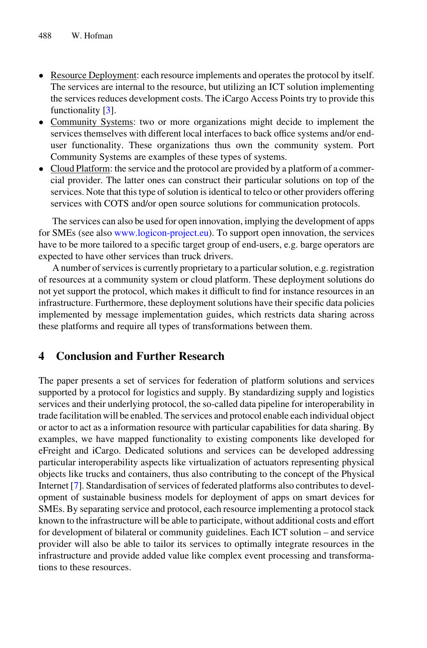- Resource Deployment: each resource implements and operates the protocol by itself. The services are internal to the resource, but utilizing an ICT solution implementing the services reduces development costs. The iCargo Access Points try to provide this functionality [\[3\]](#page-10-0).
- Community Systems: two or more organizations might decide to implement the services themselves with different local interfaces to back office systems and/or enduser functionality. These organizations thus own the community system. Port Community Systems are examples of these types of systems.
- Cloud Platform: the service and the protocol are provided by a platform of a commercial provider. The latter ones can construct their particular solutions on top of the services. Note that this type of solution is identical to telco or other providers offering services with COTS and/or open source solutions for communication protocols.

The services can also be used for open innovation, implying the development of apps for SMEs (see also [www.logicon-project.eu\)](http://www.logicon-project.eu). To support open innovation, the services have to be more tailored to a specific target group of end-users, e.g. barge operators are expected to have other services than truck drivers.

A number of services is currently proprietary to a particular solution, e.g. registration of resources at a community system or cloud platform. These deployment solutions do not yet support the protocol, which makes it difficult to find for instance resources in an infrastructure. Furthermore, these deployment solutions have their specific data policies implemented by message implementation guides, which restricts data sharing across these platforms and require all types of transformations between them.

## **4 Conclusion and Further Research**

The paper presents a set of services for federation of platform solutions and services supported by a protocol for logistics and supply. By standardizing supply and logistics services and their underlying protocol, the so-called data pipeline for interoperability in trade facilitation will be enabled. The services and protocol enable each individual object or actor to act as a information resource with particular capabilities for data sharing. By examples, we have mapped functionality to existing components like developed for eFreight and iCargo. Dedicated solutions and services can be developed addressing particular interoperability aspects like virtualization of actuators representing physical objects like trucks and containers, thus also contributing to the concept of the Physical Internet [[7](#page-10-0)]. Standardisation of services of federated platforms also contributes to development of sustainable business models for deployment of apps on smart devices for SMEs. By separating service and protocol, each resource implementing a protocol stack known to the infrastructure will be able to participate, without additional costs and effort for development of bilateral or community guidelines. Each ICT solution – and service provider will also be able to tailor its services to optimally integrate resources in the infrastructure and provide added value like complex event processing and transformations to these resources.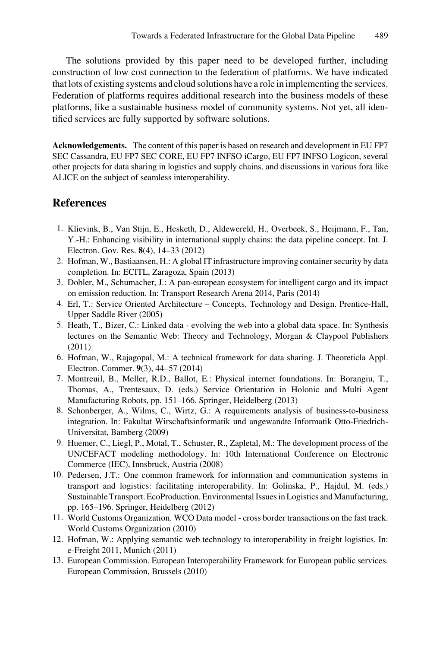<span id="page-10-0"></span>The solutions provided by this paper need to be developed further, including construction of low cost connection to the federation of platforms. We have indicated that lots of existing systems and cloud solutions have a role in implementing the services. Federation of platforms requires additional research into the business models of these platforms, like a sustainable business model of community systems. Not yet, all identified services are fully supported by software solutions.

**Acknowledgements.** The content of this paper is based on research and development in EU FP7 SEC Cassandra, EU FP7 SEC CORE, EU FP7 INFSO iCargo, EU FP7 INFSO Logicon, several other projects for data sharing in logistics and supply chains, and discussions in various fora like ALICE on the subject of seamless interoperability.

## **References**

- 1. Klievink, B., Van Stijn, E., Hesketh, D., Aldewereld, H., Overbeek, S., Heijmann, F., Tan, Y.-H.: Enhancing visibility in international supply chains: the data pipeline concept. Int. J. Electron. Gov. Res. **8**(4), 14–33 (2012)
- 2. Hofman, W., Bastiaansen, H.: A global IT infrastructure improving container security by data completion. In: ECITL, Zaragoza, Spain (2013)
- 3. Dobler, M., Schumacher, J.: A pan-european ecosystem for intelligent cargo and its impact on emission reduction. In: Transport Research Arena 2014, Paris (2014)
- 4. Erl, T.: Service Oriented Architecture Concepts, Technology and Design. Prentice-Hall, Upper Saddle River (2005)
- 5. Heath, T., Bizer, C.: Linked data evolving the web into a global data space. In: Synthesis lectures on the Semantic Web: Theory and Technology, Morgan & Claypool Publishers (2011)
- 6. Hofman, W., Rajagopal, M.: A technical framework for data sharing. J. Theoreticla Appl. Electron. Commer. **9**(3), 44–57 (2014)
- 7. Montreuil, B., Meller, R.D., Ballot, E.: Physical internet foundations. In: Borangiu, T., Thomas, A., Trentesaux, D. (eds.) Service Orientation in Holonic and Multi Agent Manufacturing Robots, pp. 151–166. Springer, Heidelberg (2013)
- 8. Schonberger, A., Wilms, C., Wirtz, G.: A requirements analysis of business-to-business integration. In: Fakultat Wirschaftsinformatik und angewandte Informatik Otto-Friedrich-Universitat, Bamberg (2009)
- 9. Huemer, C., Liegl, P., Motal, T., Schuster, R., Zapletal, M.: The development process of the UN/CEFACT modeling methodology. In: 10th International Conference on Electronic Commerce (IEC), Innsbruck, Austria (2008)
- 10. Pedersen, J.T.: One common framework for information and communication systems in transport and logistics: facilitating interoperability. In: Golinska, P., Hajdul, M. (eds.) Sustainable Transport. EcoProduction. Environmental Issues in Logistics and Manufacturing, pp. 165–196. Springer, Heidelberg (2012)
- 11. World Customs Organization. WCO Data model cross border transactions on the fast track. World Customs Organization (2010)
- 12. Hofman, W.: Applying semantic web technology to interoperability in freight logistics. In: e-Freight 2011, Munich (2011)
- 13. European Commission. European Interoperability Framework for European public services. European Commission, Brussels (2010)